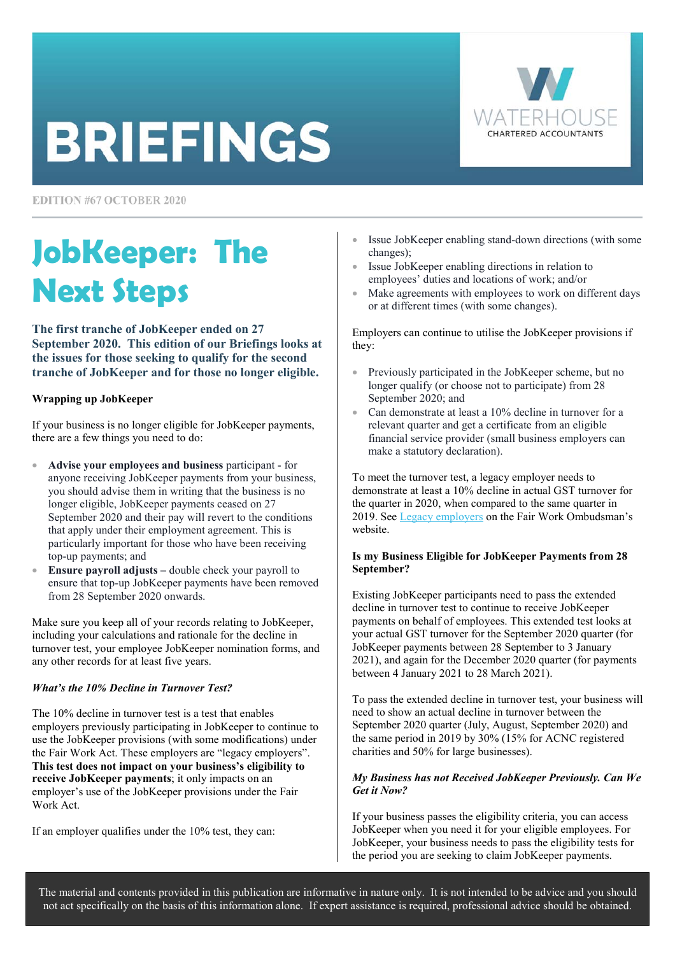# **BRIEFINGS**

**EDITION #67 OCTOBER 2020** 

# **JobKeeper: The Next Steps**

**The first tranche of JobKeeper ended on 27 September 2020. This edition of our Briefings looks at the issues for those seeking to qualify for the second tranche of JobKeeper and for those no longer eligible.** 

## **Wrapping up JobKeeper**

If your business is no longer eligible for JobKeeper payments, there are a few things you need to do:

- **Advise your employees and business** participant for anyone receiving JobKeeper payments from your business, you should advise them in writing that the business is no longer eligible, JobKeeper payments ceased on 27 September 2020 and their pay will revert to the conditions that apply under their employment agreement. This is particularly important for those who have been receiving top-up payments; and
- **Ensure payroll adjusts** double check your payroll to ensure that top-up JobKeeper payments have been removed from 28 September 2020 onwards.

Make sure you keep all of your records relating to JobKeeper, including your calculations and rationale for the decline in turnover test, your employee JobKeeper nomination forms, and any other records for at least five years.

## *What's the 10% Decline in Turnover Test?*

The 10% decline in turnover test is a test that enables employers previously participating in JobKeeper to continue to use the JobKeeper provisions (with some modifications) under the Fair Work Act. These employers are "legacy employers". **This test does not impact on your business's eligibility to receive JobKeeper payments**; it only impacts on an employer's use of the JobKeeper provisions under the Fair Work Act.

If an employer qualifies under the 10% test, they can:



- Issue JobKeeper enabling stand-down directions (with some changes);
- Issue JobKeeper enabling directions in relation to employees' duties and locations of work; and/or
- Make agreements with employees to work on different days or at different times (with some changes).

Employers can continue to utilise the JobKeeper provisions if they:

- Previously participated in the JobKeeper scheme, but no longer qualify (or choose not to participate) from 28 September 2020; and
- Can demonstrate at least a 10% decline in turnover for a relevant quarter and get a certificate from an eligible financial service provider (small business employers can make a statutory declaration).

To meet the turnover test, a legacy employer needs to demonstrate at least a 10% decline in actual GST turnover for the quarter in 2020, when compared to the same quarter in 2019. See [Legacy employers](https://coronavirus.fairwork.gov.au/coronavirus-and-australian-workplace-laws/pay-and-leave-during-coronavirus/jobkeeper-wage-subsidy-scheme/legacy-employers#legacy-employers) on the Fair Work Ombudsman's website.

#### **Is my Business Eligible for JobKeeper Payments from 28 September?**

Existing JobKeeper participants need to pass the extended decline in turnover test to continue to receive JobKeeper payments on behalf of employees. This extended test looks at your actual GST turnover for the September 2020 quarter (for JobKeeper payments between 28 September to 3 January 2021), and again for the December 2020 quarter (for payments between 4 January 2021 to 28 March 2021).

To pass the extended decline in turnover test, your business will need to show an actual decline in turnover between the September 2020 quarter (July, August, September 2020) and the same period in 2019 by 30% (15% for ACNC registered charities and 50% for large businesses).

## *My Business has not Received JobKeeper Previously. Can We Get it Now?*

If your business passes the eligibility criteria, you can access JobKeeper when you need it for your eligible employees. For JobKeeper, your business needs to pass the eligibility tests for the period you are seeking to claim JobKeeper payments.

The material and contents provided in this publication are informative in nature only. It is not intended to be advice and you should not act specifically on the basis of this information alone. If expert assistance is required, professional advice should be obtained.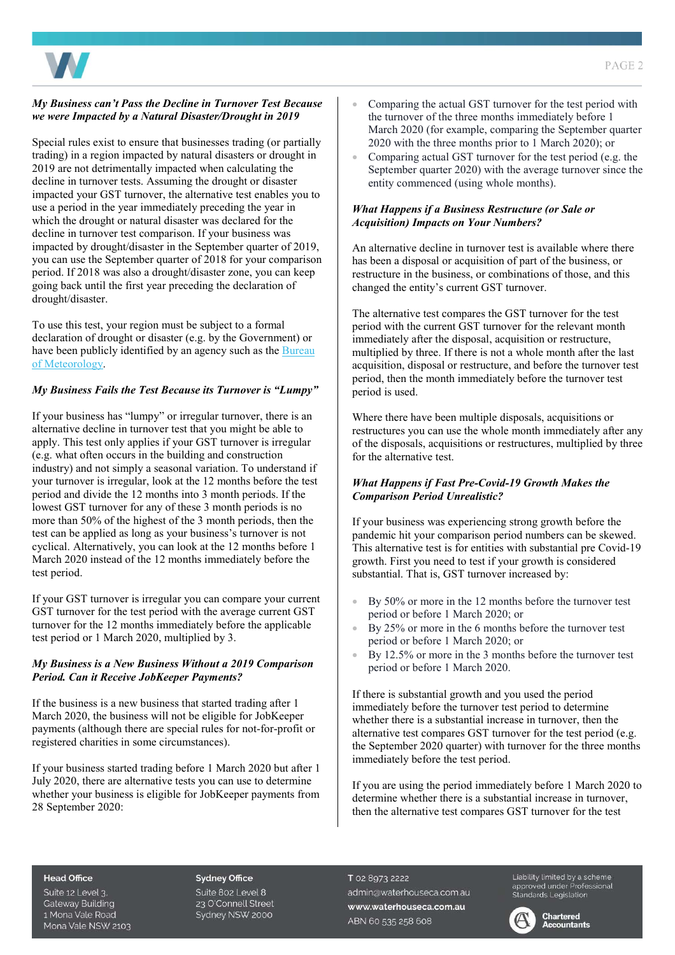

#### *My Business can't Pass the Decline in Turnover Test Because we were Impacted by a Natural Disaster/Drought in 2019*

Special rules exist to ensure that businesses trading (or partially trading) in a region impacted by natural disasters or drought in 2019 are not detrimentally impacted when calculating the decline in turnover tests. Assuming the drought or disaster impacted your GST turnover, the alternative test enables you to use a period in the year immediately preceding the year in which the drought or natural disaster was declared for the decline in turnover test comparison. If your business was impacted by drought/disaster in the September quarter of 2019, you can use the September quarter of 2018 for your comparison period. If 2018 was also a drought/disaster zone, you can keep going back until the first year preceding the declaration of drought/disaster.

To use this test, your region must be subject to a formal declaration of drought or disaster (e.g. by the Government) or have been publicly identified by an agency such as the **Bureau** [of Meteorology.](http://www.bom.gov.au/climate/drought/) 

## *My Business Fails the Test Because its Turnover is "Lumpy"*

If your business has "lumpy" or irregular turnover, there is an alternative decline in turnover test that you might be able to apply. This test only applies if your GST turnover is irregular (e.g. what often occurs in the building and construction industry) and not simply a seasonal variation. To understand if your turnover is irregular, look at the 12 months before the test period and divide the 12 months into 3 month periods. If the lowest GST turnover for any of these 3 month periods is no more than 50% of the highest of the 3 month periods, then the test can be applied as long as your business's turnover is not cyclical. Alternatively, you can look at the 12 months before 1 March 2020 instead of the 12 months immediately before the test period.

If your GST turnover is irregular you can compare your current GST turnover for the test period with the average current GST turnover for the 12 months immediately before the applicable test period or 1 March 2020, multiplied by 3.

#### *My Business is a New Business Without a 2019 Comparison Period. Can it Receive JobKeeper Payments?*

If the business is a new business that started trading after 1 March 2020, the business will not be eligible for JobKeeper payments (although there are special rules for not-for-profit or registered charities in some circumstances).

If your business started trading before 1 March 2020 but after 1 July 2020, there are alternative tests you can use to determine whether your business is eligible for JobKeeper payments from 28 September 2020:

- Comparing the actual GST turnover for the test period with the turnover of the three months immediately before 1 March 2020 (for example, comparing the September quarter 2020 with the three months prior to 1 March 2020); or
- Comparing actual GST turnover for the test period (e.g. the September quarter 2020) with the average turnover since the entity commenced (using whole months).

#### *What Happens if a Business Restructure (or Sale or Acquisition) Impacts on Your Numbers?*

An alternative decline in turnover test is available where there has been a disposal or acquisition of part of the business, or restructure in the business, or combinations of those, and this changed the entity's current GST turnover.

The alternative test compares the GST turnover for the test period with the current GST turnover for the relevant month immediately after the disposal, acquisition or restructure, multiplied by three. If there is not a whole month after the last acquisition, disposal or restructure, and before the turnover test period, then the month immediately before the turnover test period is used.

Where there have been multiple disposals, acquisitions or restructures you can use the whole month immediately after any of the disposals, acquisitions or restructures, multiplied by three for the alternative test.

## *What Happens if Fast Pre-Covid-19 Growth Makes the Comparison Period Unrealistic?*

If your business was experiencing strong growth before the pandemic hit your comparison period numbers can be skewed. This alternative test is for entities with substantial pre Covid-19 growth. First you need to test if your growth is considered substantial. That is, GST turnover increased by:

- By 50% or more in the 12 months before the turnover test period or before 1 March 2020; or
- By 25% or more in the 6 months before the turnover test period or before 1 March 2020; or
- By 12.5% or more in the 3 months before the turnover test period or before 1 March 2020.

If there is substantial growth and you used the period immediately before the turnover test period to determine whether there is a substantial increase in turnover, then the alternative test compares GST turnover for the test period (e.g. the September 2020 quarter) with turnover for the three months immediately before the test period.

If you are using the period immediately before 1 March 2020 to determine whether there is a substantial increase in turnover, then the alternative test compares GST turnover for the test

#### **Head Office**

Suite 12 Level 3. **Gateway Building** 1 Mona Vale Road Mona Vale NSW 2103

#### **Sydney Office**

Suite 802 Level 8 23 O'Connell Street Sydney NSW 2000

T 02 8973 2222 admin@waterhouseca.com.au www.waterhouseca.com.au ABN 60 535 258 608

Liability limited by a scheme approved under Professional<br>Standards Legislation

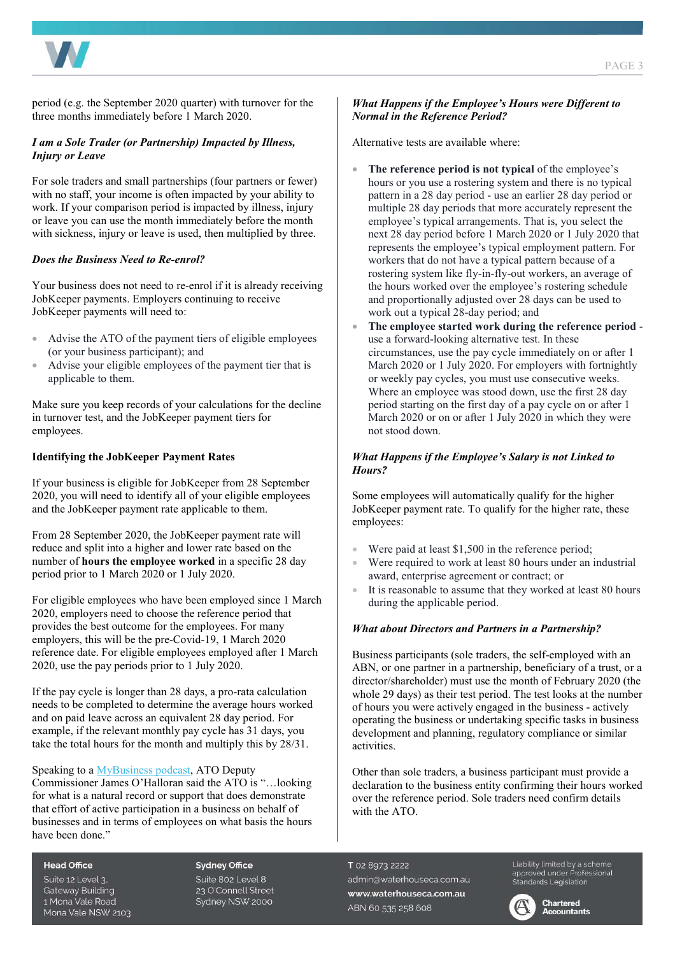PAGE 3

period (e.g. the September 2020 quarter) with turnover for the three months immediately before 1 March 2020.

#### *I am a Sole Trader (or Partnership) Impacted by Illness, Injury or Leave*

For sole traders and small partnerships (four partners or fewer) with no staff, your income is often impacted by your ability to work. If your comparison period is impacted by illness, injury or leave you can use the month immediately before the month with sickness, injury or leave is used, then multiplied by three.

#### *Does the Business Need to Re-enrol?*

Your business does not need to re-enrol if it is already receiving JobKeeper payments. Employers continuing to receive JobKeeper payments will need to:

- Advise the ATO of the payment tiers of eligible employees (or your business participant); and
- Advise your eligible employees of the payment tier that is applicable to them.

Make sure you keep records of your calculations for the decline in turnover test, and the JobKeeper payment tiers for employees.

#### **Identifying the JobKeeper Payment Rates**

If your business is eligible for JobKeeper from 28 September 2020, you will need to identify all of your eligible employees and the JobKeeper payment rate applicable to them.

From 28 September 2020, the JobKeeper payment rate will reduce and split into a higher and lower rate based on the number of **hours the employee worked** in a specific 28 day period prior to 1 March 2020 or 1 July 2020.

For eligible employees who have been employed since 1 March 2020, employers need to choose the reference period that provides the best outcome for the employees. For many employers, this will be the pre-Covid-19, 1 March 2020 reference date. For eligible employees employed after 1 March 2020, use the pay periods prior to 1 July 2020.

If the pay cycle is longer than 28 days, a pro-rata calculation needs to be completed to determine the average hours worked and on paid leave across an equivalent 28 day period. For example, if the relevant monthly pay cycle has 31 days, you take the total hours for the month and multiply this by 28/31.

#### Speaking to a [MyBusiness podcast,](https://www.mybusiness.com.au/webcasts/7360-webcast-everything-you-need-to-know-and-do-about-jobkeeper-2-1) ATO Deputy

Commissioner James O'Halloran said the ATO is "…looking for what is a natural record or support that does demonstrate that effort of active participation in a business on behalf of businesses and in terms of employees on what basis the hours have been done."

#### **Head Office**

Suite 12 Level 3. **Gateway Building** 1 Mona Vale Road Mona Vale NSW 2103

#### **Sydney Office**

Suite 802 Level 8 23 O'Connell Street Sydney NSW 2000

#### *What Happens if the Employee's Hours were Different to Normal in the Reference Period?*

Alternative tests are available where:

- **The reference period is not typical** of the employee's hours or you use a rostering system and there is no typical pattern in a 28 day period - use an earlier 28 day period or multiple 28 day periods that more accurately represent the employee's typical arrangements. That is, you select the next 28 day period before 1 March 2020 or 1 July 2020 that represents the employee's typical employment pattern. For workers that do not have a typical pattern because of a rostering system like fly-in-fly-out workers, an average of the hours worked over the employee's rostering schedule and proportionally adjusted over 28 days can be used to work out a typical 28-day period; and
- **The employee started work during the reference period** use a forward-looking alternative test. In these circumstances, use the pay cycle immediately on or after 1 March 2020 or 1 July 2020. For employers with fortnightly or weekly pay cycles, you must use consecutive weeks. Where an employee was stood down, use the first 28 day period starting on the first day of a pay cycle on or after 1 March 2020 or on or after 1 July 2020 in which they were not stood down.

#### *What Happens if the Employee's Salary is not Linked to Hours?*

Some employees will automatically qualify for the higher JobKeeper payment rate. To qualify for the higher rate, these employees:

- Were paid at least  $$1,500$  in the reference period;
- Were required to work at least 80 hours under an industrial award, enterprise agreement or contract; or
- It is reasonable to assume that they worked at least 80 hours during the applicable period.

#### *What about Directors and Partners in a Partnership?*

Business participants (sole traders, the self-employed with an ABN, or one partner in a partnership, beneficiary of a trust, or a director/shareholder) must use the month of February 2020 (the whole 29 days) as their test period. The test looks at the number of hours you were actively engaged in the business - actively operating the business or undertaking specific tasks in business development and planning, regulatory compliance or similar activities.

Other than sole traders, a business participant must provide a declaration to the business entity confirming their hours worked over the reference period. Sole traders need confirm details with the ATO.

T 02 8973 2222 admin@waterhouseca.com.au www.waterhouseca.com.au ABN 60 535 258 608

Liability limited by a scheme Explorery writted by a scribing<br>approved under Professional<br>Standards Legislation



**Chartered Accountants**